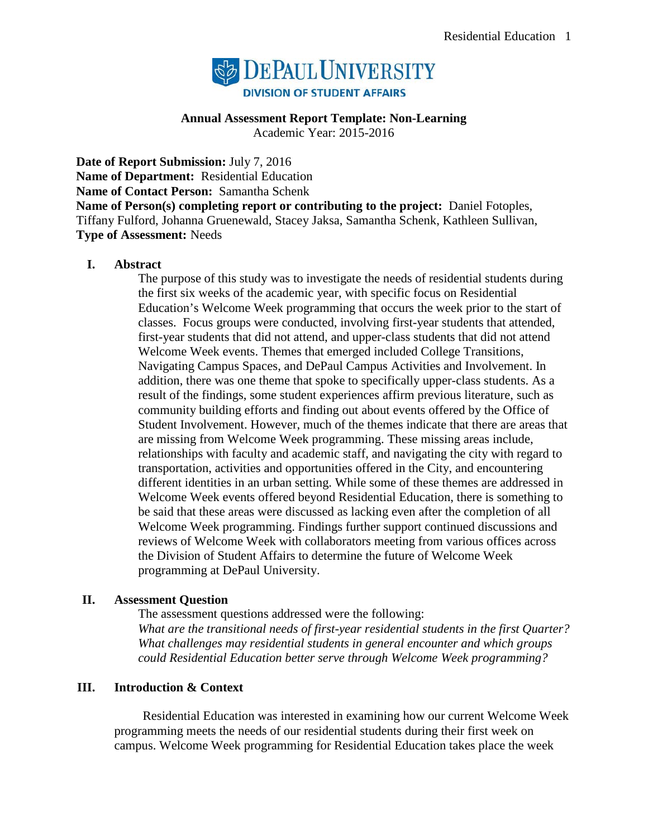

## **Annual Assessment Report Template: Non-Learning**

Academic Year: 2015-2016

**Date of Report Submission:** July 7, 2016 **Name of Department:** Residential Education **Name of Contact Person:** Samantha Schenk **Name of Person(s) completing report or contributing to the project:** Daniel Fotoples, Tiffany Fulford, Johanna Gruenewald, Stacey Jaksa, Samantha Schenk, Kathleen Sullivan, **Type of Assessment:** Needs

## **I. Abstract**

The purpose of this study was to investigate the needs of residential students during the first six weeks of the academic year, with specific focus on Residential Education's Welcome Week programming that occurs the week prior to the start of classes. Focus groups were conducted, involving first-year students that attended, first-year students that did not attend, and upper-class students that did not attend Welcome Week events. Themes that emerged included College Transitions, Navigating Campus Spaces, and DePaul Campus Activities and Involvement. In addition, there was one theme that spoke to specifically upper-class students. As a result of the findings, some student experiences affirm previous literature, such as community building efforts and finding out about events offered by the Office of Student Involvement. However, much of the themes indicate that there are areas that are missing from Welcome Week programming. These missing areas include, relationships with faculty and academic staff, and navigating the city with regard to transportation, activities and opportunities offered in the City, and encountering different identities in an urban setting. While some of these themes are addressed in Welcome Week events offered beyond Residential Education, there is something to be said that these areas were discussed as lacking even after the completion of all Welcome Week programming. Findings further support continued discussions and reviews of Welcome Week with collaborators meeting from various offices across the Division of Student Affairs to determine the future of Welcome Week programming at DePaul University.

## **II. Assessment Question**

The assessment questions addressed were the following: *What are the transitional needs of first-year residential students in the first Quarter? What challenges may residential students in general encounter and which groups could Residential Education better serve through Welcome Week programming?*

## **III. Introduction & Context**

Residential Education was interested in examining how our current Welcome Week programming meets the needs of our residential students during their first week on campus. Welcome Week programming for Residential Education takes place the week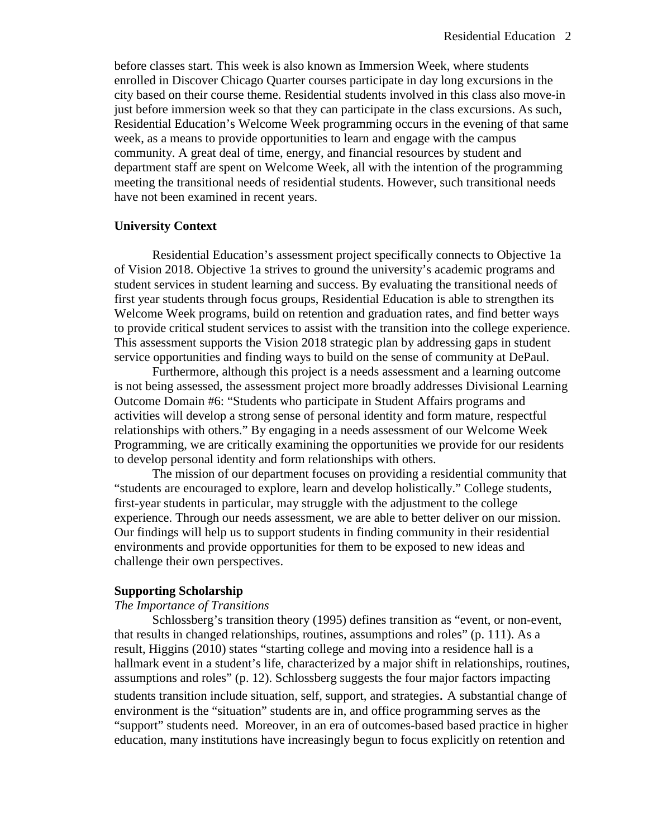before classes start. This week is also known as Immersion Week, where students enrolled in Discover Chicago Quarter courses participate in day long excursions in the city based on their course theme. Residential students involved in this class also move-in just before immersion week so that they can participate in the class excursions. As such, Residential Education's Welcome Week programming occurs in the evening of that same week, as a means to provide opportunities to learn and engage with the campus community. A great deal of time, energy, and financial resources by student and department staff are spent on Welcome Week, all with the intention of the programming meeting the transitional needs of residential students. However, such transitional needs have not been examined in recent years.

### **University Context**

Residential Education's assessment project specifically connects to Objective 1a of Vision 2018. Objective 1a strives to ground the university's academic programs and student services in student learning and success. By evaluating the transitional needs of first year students through focus groups, Residential Education is able to strengthen its Welcome Week programs, build on retention and graduation rates, and find better ways to provide critical student services to assist with the transition into the college experience. This assessment supports the Vision 2018 strategic plan by addressing gaps in student service opportunities and finding ways to build on the sense of community at DePaul.

Furthermore, although this project is a needs assessment and a learning outcome is not being assessed, the assessment project more broadly addresses Divisional Learning Outcome Domain #6: "Students who participate in Student Affairs programs and activities will develop a strong sense of personal identity and form mature, respectful relationships with others." By engaging in a needs assessment of our Welcome Week Programming, we are critically examining the opportunities we provide for our residents to develop personal identity and form relationships with others.

The mission of our department focuses on providing a residential community that "students are encouraged to explore, learn and develop holistically." College students, first-year students in particular, may struggle with the adjustment to the college experience. Through our needs assessment, we are able to better deliver on our mission. Our findings will help us to support students in finding community in their residential environments and provide opportunities for them to be exposed to new ideas and challenge their own perspectives.

### **Supporting Scholarship**

### *The Importance of Transitions*

Schlossberg's transition theory (1995) defines transition as "event, or non-event, that results in changed relationships, routines, assumptions and roles" (p. 111). As a result, Higgins (2010) states "starting college and moving into a residence hall is a hallmark event in a student's life, characterized by a major shift in relationships, routines, assumptions and roles" (p. 12). Schlossberg suggests the four major factors impacting students transition include situation, self, support, and strategies. A substantial change of environment is the "situation" students are in, and office programming serves as the "support" students need. Moreover, in an era of outcomes-based based practice in higher education, many institutions have increasingly begun to focus explicitly on retention and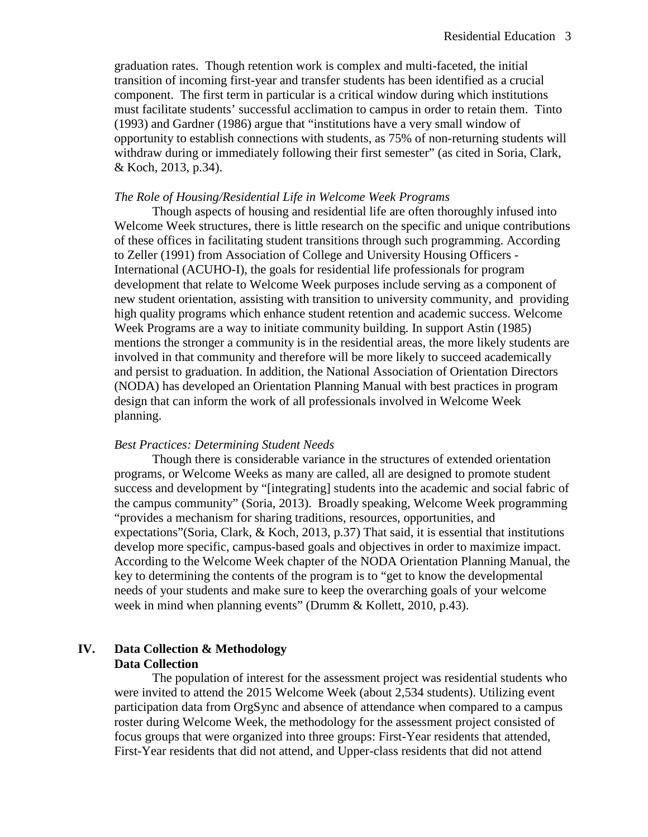graduation rates. Though retention work is complex and multi-faceted, the initial transition of incoming first-year and transfer students has been identified as a crucial component. The first term in particular is a critical window during which institutions must facilitate students' successful acclimation to campus in order to retain them. Tinto (1993) and Gardner (1986) argue that "institutions have a very small window of opportunity to establish connections with students, as 75% of non-returning students will withdraw during or immediately following their first semester" (as cited in Soria, Clark, & Koch, 2013, p.34).

### *The Role of Housing/Residential Life in Welcome Week Programs*

Though aspects of housing and residential life are often thoroughly infused into Welcome Week structures, there is little research on the specific and unique contributions of these offices in facilitating student transitions through such programming. According to Zeller (1991) from Association of College and University Housing Officers - International (ACUHO-I), the goals for residential life professionals for program development that relate to Welcome Week purposes include serving as a component of new student orientation, assisting with transition to university community, and providing high quality programs which enhance student retention and academic success. Welcome Week Programs are a way to initiate community building. In support Astin (1985) mentions the stronger a community is in the residential areas, the more likely students are involved in that community and therefore will be more likely to succeed academically and persist to graduation. In addition, the National Association of Orientation Directors (NODA) has developed an Orientation Planning Manual with best practices in program design that can inform the work of all professionals involved in Welcome Week planning.

### *Best Practices: Determining Student Needs*

Though there is considerable variance in the structures of extended orientation programs, or Welcome Weeks as many are called, all are designed to promote student success and development by "[integrating] students into the academic and social fabric of the campus community" (Soria, 2013). Broadly speaking, Welcome Week programming "provides a mechanism for sharing traditions, resources, opportunities, and expectations"(Soria, Clark, & Koch, 2013, p.37) That said, it is essential that institutions develop more specific, campus-based goals and objectives in order to maximize impact. According to the Welcome Week chapter of the NODA Orientation Planning Manual, the key to determining the contents of the program is to "get to know the developmental needs of your students and make sure to keep the overarching goals of your welcome week in mind when planning events" (Drumm & Kollett, 2010, p.43).

## **IV. Data Collection & Methodology Data Collection**

The population of interest for the assessment project was residential students who were invited to attend the 2015 Welcome Week (about 2,534 students). Utilizing event participation data from OrgSync and absence of attendance when compared to a campus roster during Welcome Week, the methodology for the assessment project consisted of focus groups that were organized into three groups: First-Year residents that attended, First-Year residents that did not attend, and Upper-class residents that did not attend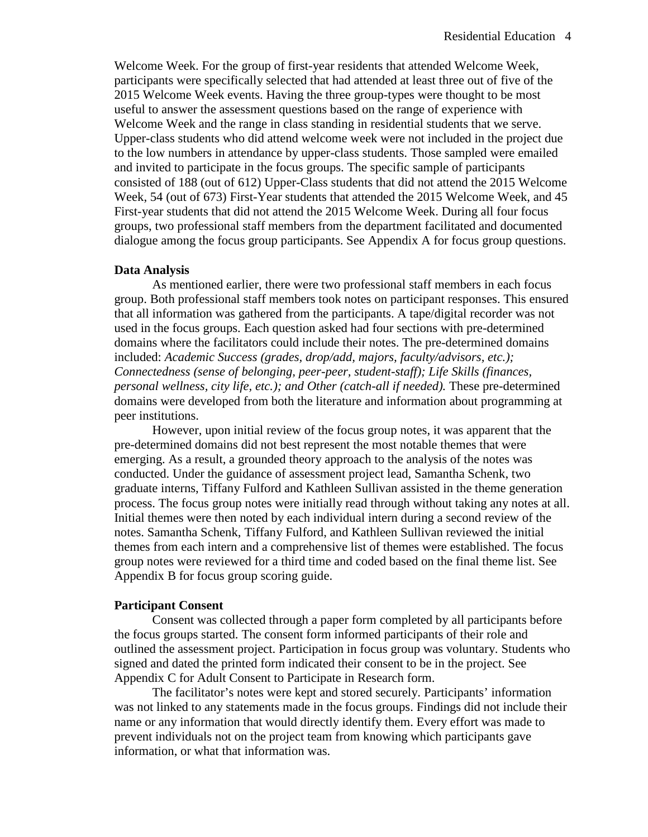Welcome Week. For the group of first-year residents that attended Welcome Week, participants were specifically selected that had attended at least three out of five of the 2015 Welcome Week events. Having the three group-types were thought to be most useful to answer the assessment questions based on the range of experience with Welcome Week and the range in class standing in residential students that we serve. Upper-class students who did attend welcome week were not included in the project due to the low numbers in attendance by upper-class students. Those sampled were emailed and invited to participate in the focus groups. The specific sample of participants consisted of 188 (out of 612) Upper-Class students that did not attend the 2015 Welcome Week, 54 (out of 673) First-Year students that attended the 2015 Welcome Week, and 45 First-year students that did not attend the 2015 Welcome Week. During all four focus groups, two professional staff members from the department facilitated and documented dialogue among the focus group participants. See Appendix A for focus group questions.

#### **Data Analysis**

As mentioned earlier, there were two professional staff members in each focus group. Both professional staff members took notes on participant responses. This ensured that all information was gathered from the participants. A tape/digital recorder was not used in the focus groups. Each question asked had four sections with pre-determined domains where the facilitators could include their notes. The pre-determined domains included: *Academic Success (grades, drop/add, majors, faculty/advisors, etc.); Connectedness (sense of belonging, peer-peer, student-staff); Life Skills (finances, personal wellness, city life, etc.); and Other (catch-all if needed).* These pre-determined domains were developed from both the literature and information about programming at peer institutions.

However, upon initial review of the focus group notes, it was apparent that the pre-determined domains did not best represent the most notable themes that were emerging. As a result, a grounded theory approach to the analysis of the notes was conducted. Under the guidance of assessment project lead, Samantha Schenk, two graduate interns, Tiffany Fulford and Kathleen Sullivan assisted in the theme generation process. The focus group notes were initially read through without taking any notes at all. Initial themes were then noted by each individual intern during a second review of the notes. Samantha Schenk, Tiffany Fulford, and Kathleen Sullivan reviewed the initial themes from each intern and a comprehensive list of themes were established. The focus group notes were reviewed for a third time and coded based on the final theme list. See Appendix B for focus group scoring guide.

### **Participant Consent**

Consent was collected through a paper form completed by all participants before the focus groups started. The consent form informed participants of their role and outlined the assessment project. Participation in focus group was voluntary. Students who signed and dated the printed form indicated their consent to be in the project. See Appendix C for Adult Consent to Participate in Research form.

The facilitator's notes were kept and stored securely. Participants' information was not linked to any statements made in the focus groups. Findings did not include their name or any information that would directly identify them. Every effort was made to prevent individuals not on the project team from knowing which participants gave information, or what that information was.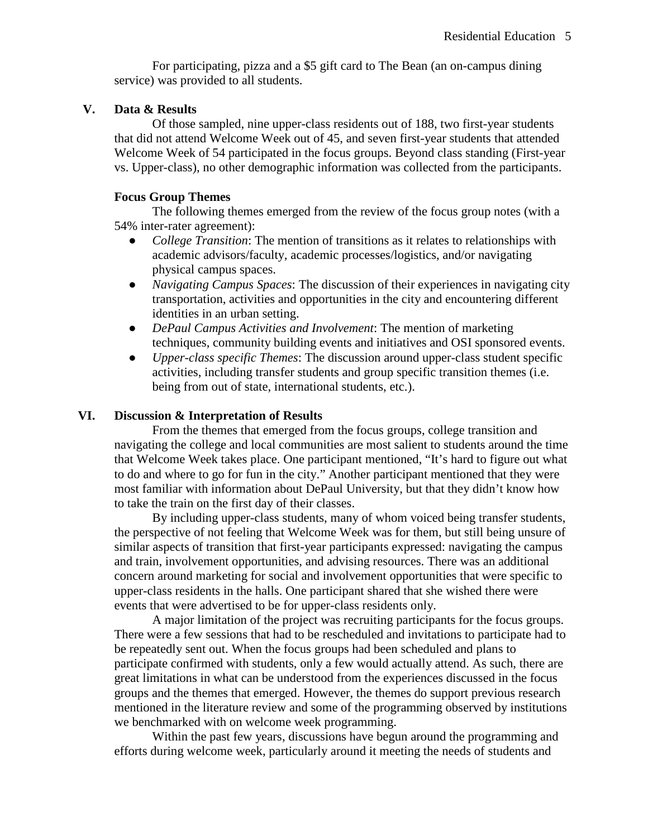For participating, pizza and a \$5 gift card to The Bean (an on-campus dining service) was provided to all students.

### **V. Data & Results**

Of those sampled, nine upper-class residents out of 188, two first-year students that did not attend Welcome Week out of 45, and seven first-year students that attended Welcome Week of 54 participated in the focus groups. Beyond class standing (First-year vs. Upper-class), no other demographic information was collected from the participants.

### **Focus Group Themes**

The following themes emerged from the review of the focus group notes (with a 54% inter-rater agreement):

- *College Transition*: The mention of transitions as it relates to relationships with academic advisors/faculty, academic processes/logistics, and/or navigating physical campus spaces.
- *Navigating Campus Spaces*: The discussion of their experiences in navigating city transportation, activities and opportunities in the city and encountering different identities in an urban setting.
- *DePaul Campus Activities and Involvement*: The mention of marketing techniques, community building events and initiatives and OSI sponsored events.
- *Upper-class specific Themes*: The discussion around upper-class student specific activities, including transfer students and group specific transition themes (i.e. being from out of state, international students, etc.).

### **VI. Discussion & Interpretation of Results**

From the themes that emerged from the focus groups, college transition and navigating the college and local communities are most salient to students around the time that Welcome Week takes place. One participant mentioned, "It's hard to figure out what to do and where to go for fun in the city." Another participant mentioned that they were most familiar with information about DePaul University, but that they didn't know how to take the train on the first day of their classes.

By including upper-class students, many of whom voiced being transfer students, the perspective of not feeling that Welcome Week was for them, but still being unsure of similar aspects of transition that first-year participants expressed: navigating the campus and train, involvement opportunities, and advising resources. There was an additional concern around marketing for social and involvement opportunities that were specific to upper-class residents in the halls. One participant shared that she wished there were events that were advertised to be for upper-class residents only.

A major limitation of the project was recruiting participants for the focus groups. There were a few sessions that had to be rescheduled and invitations to participate had to be repeatedly sent out. When the focus groups had been scheduled and plans to participate confirmed with students, only a few would actually attend. As such, there are great limitations in what can be understood from the experiences discussed in the focus groups and the themes that emerged. However, the themes do support previous research mentioned in the literature review and some of the programming observed by institutions we benchmarked with on welcome week programming.

Within the past few years, discussions have begun around the programming and efforts during welcome week, particularly around it meeting the needs of students and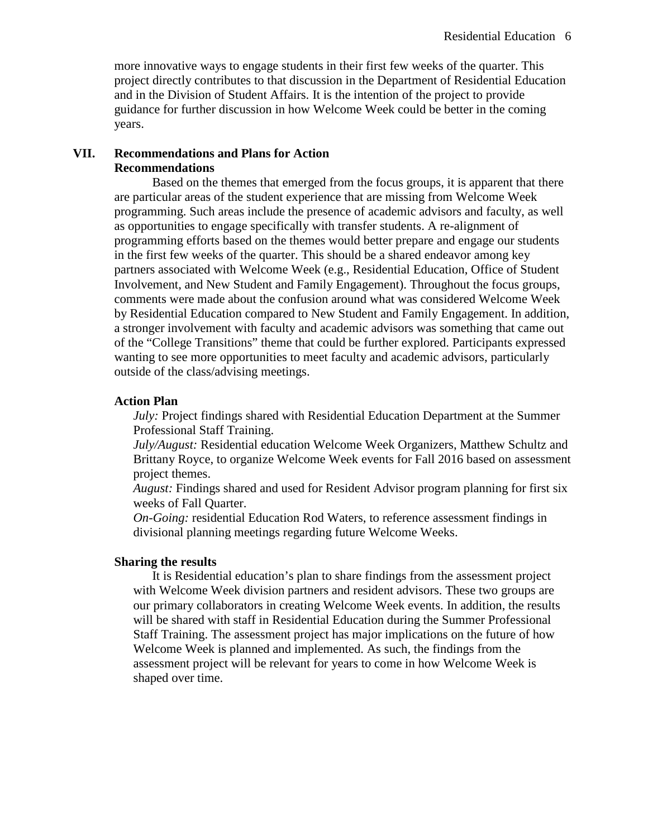more innovative ways to engage students in their first few weeks of the quarter. This project directly contributes to that discussion in the Department of Residential Education and in the Division of Student Affairs. It is the intention of the project to provide guidance for further discussion in how Welcome Week could be better in the coming years.

## **VII. Recommendations and Plans for Action Recommendations**

Based on the themes that emerged from the focus groups, it is apparent that there are particular areas of the student experience that are missing from Welcome Week programming. Such areas include the presence of academic advisors and faculty, as well as opportunities to engage specifically with transfer students. A re-alignment of programming efforts based on the themes would better prepare and engage our students in the first few weeks of the quarter. This should be a shared endeavor among key partners associated with Welcome Week (e.g., Residential Education, Office of Student Involvement, and New Student and Family Engagement). Throughout the focus groups, comments were made about the confusion around what was considered Welcome Week by Residential Education compared to New Student and Family Engagement. In addition, a stronger involvement with faculty and academic advisors was something that came out of the "College Transitions" theme that could be further explored. Participants expressed wanting to see more opportunities to meet faculty and academic advisors, particularly outside of the class/advising meetings.

### **Action Plan**

*July:* Project findings shared with Residential Education Department at the Summer Professional Staff Training.

*July/August:* Residential education Welcome Week Organizers, Matthew Schultz and Brittany Royce, to organize Welcome Week events for Fall 2016 based on assessment project themes.

*August:* Findings shared and used for Resident Advisor program planning for first six weeks of Fall Quarter.

*On-Going:* residential Education Rod Waters, to reference assessment findings in divisional planning meetings regarding future Welcome Weeks.

### **Sharing the results**

It is Residential education's plan to share findings from the assessment project with Welcome Week division partners and resident advisors. These two groups are our primary collaborators in creating Welcome Week events. In addition, the results will be shared with staff in Residential Education during the Summer Professional Staff Training. The assessment project has major implications on the future of how Welcome Week is planned and implemented. As such, the findings from the assessment project will be relevant for years to come in how Welcome Week is shaped over time.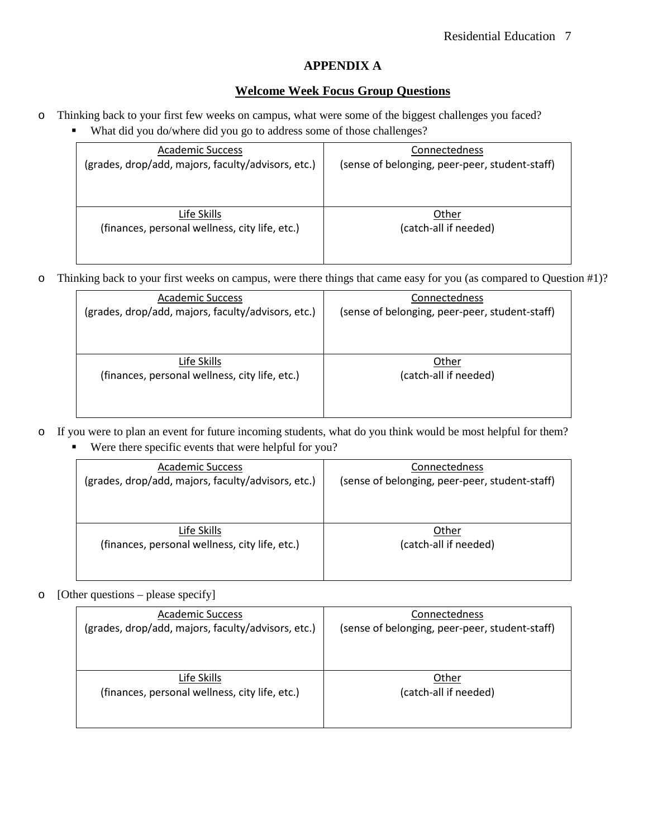# **APPENDIX A**

## **Welcome Week Focus Group Questions**

- o Thinking back to your first few weeks on campus, what were some of the biggest challenges you faced?
	- What did you do/where did you go to address some of those challenges?

| <b>Academic Success</b>                            | Connectedness                                  |  |  |
|----------------------------------------------------|------------------------------------------------|--|--|
| (grades, drop/add, majors, faculty/advisors, etc.) | (sense of belonging, peer-peer, student-staff) |  |  |
|                                                    |                                                |  |  |
|                                                    |                                                |  |  |
|                                                    |                                                |  |  |
| Life Skills                                        | Other                                          |  |  |
| (finances, personal wellness, city life, etc.)     | (catch-all if needed)                          |  |  |
|                                                    |                                                |  |  |
|                                                    |                                                |  |  |

o Thinking back to your first weeks on campus, were there things that came easy for you (as compared to Question #1)?

| <b>Academic Success</b>                            | Connectedness                                  |  |  |
|----------------------------------------------------|------------------------------------------------|--|--|
| (grades, drop/add, majors, faculty/advisors, etc.) | (sense of belonging, peer-peer, student-staff) |  |  |
|                                                    |                                                |  |  |
|                                                    |                                                |  |  |
|                                                    |                                                |  |  |
| Life Skills                                        | Other                                          |  |  |
| (finances, personal wellness, city life, etc.)     | (catch-all if needed)                          |  |  |
|                                                    |                                                |  |  |
|                                                    |                                                |  |  |
|                                                    |                                                |  |  |

- o If you were to plan an event for future incoming students, what do you think would be most helpful for them?
	- Were there specific events that were helpful for you?

| <b>Academic Success</b><br>(grades, drop/add, majors, faculty/advisors, etc.) | Connectedness<br>(sense of belonging, peer-peer, student-staff) |
|-------------------------------------------------------------------------------|-----------------------------------------------------------------|
|                                                                               |                                                                 |
| Life Skills                                                                   | Other                                                           |
| (finances, personal wellness, city life, etc.)                                | (catch-all if needed)                                           |
|                                                                               |                                                                 |

### o [Other questions – please specify]

| <b>Academic Success</b><br>(grades, drop/add, majors, faculty/advisors, etc.) | Connectedness<br>(sense of belonging, peer-peer, student-staff) |  |  |
|-------------------------------------------------------------------------------|-----------------------------------------------------------------|--|--|
|                                                                               |                                                                 |  |  |
| Life Skills                                                                   | Other                                                           |  |  |
| (finances, personal wellness, city life, etc.)                                | (catch-all if needed)                                           |  |  |
|                                                                               |                                                                 |  |  |
|                                                                               |                                                                 |  |  |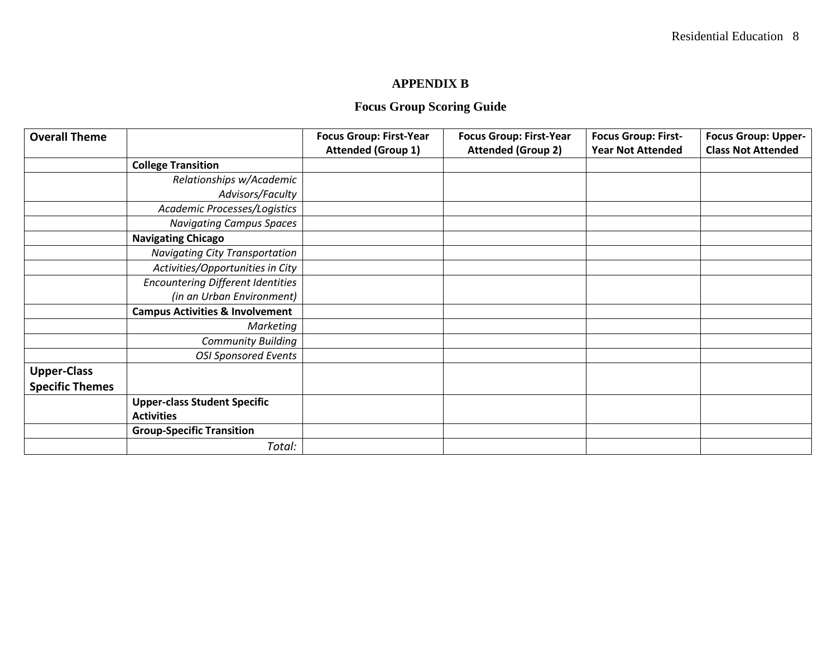# **APPENDIX B**

# **Focus Group Scoring Guide**

| <b>Overall Theme</b>   |                                            | <b>Focus Group: First-Year</b> | <b>Focus Group: First-Year</b> | <b>Focus Group: First-</b> | <b>Focus Group: Upper-</b> |
|------------------------|--------------------------------------------|--------------------------------|--------------------------------|----------------------------|----------------------------|
|                        |                                            | <b>Attended (Group 1)</b>      | <b>Attended (Group 2)</b>      | <b>Year Not Attended</b>   | <b>Class Not Attended</b>  |
|                        | <b>College Transition</b>                  |                                |                                |                            |                            |
|                        | Relationships w/Academic                   |                                |                                |                            |                            |
|                        | Advisors/Faculty                           |                                |                                |                            |                            |
|                        | Academic Processes/Logistics               |                                |                                |                            |                            |
|                        | <b>Navigating Campus Spaces</b>            |                                |                                |                            |                            |
|                        | <b>Navigating Chicago</b>                  |                                |                                |                            |                            |
|                        | <b>Navigating City Transportation</b>      |                                |                                |                            |                            |
|                        | Activities/Opportunities in City           |                                |                                |                            |                            |
|                        | <b>Encountering Different Identities</b>   |                                |                                |                            |                            |
|                        | (in an Urban Environment)                  |                                |                                |                            |                            |
|                        | <b>Campus Activities &amp; Involvement</b> |                                |                                |                            |                            |
|                        | Marketing                                  |                                |                                |                            |                            |
|                        | <b>Community Building</b>                  |                                |                                |                            |                            |
|                        | <b>OSI Sponsored Events</b>                |                                |                                |                            |                            |
| <b>Upper-Class</b>     |                                            |                                |                                |                            |                            |
| <b>Specific Themes</b> |                                            |                                |                                |                            |                            |
|                        | <b>Upper-class Student Specific</b>        |                                |                                |                            |                            |
|                        | <b>Activities</b>                          |                                |                                |                            |                            |
|                        | <b>Group-Specific Transition</b>           |                                |                                |                            |                            |
|                        | Total:                                     |                                |                                |                            |                            |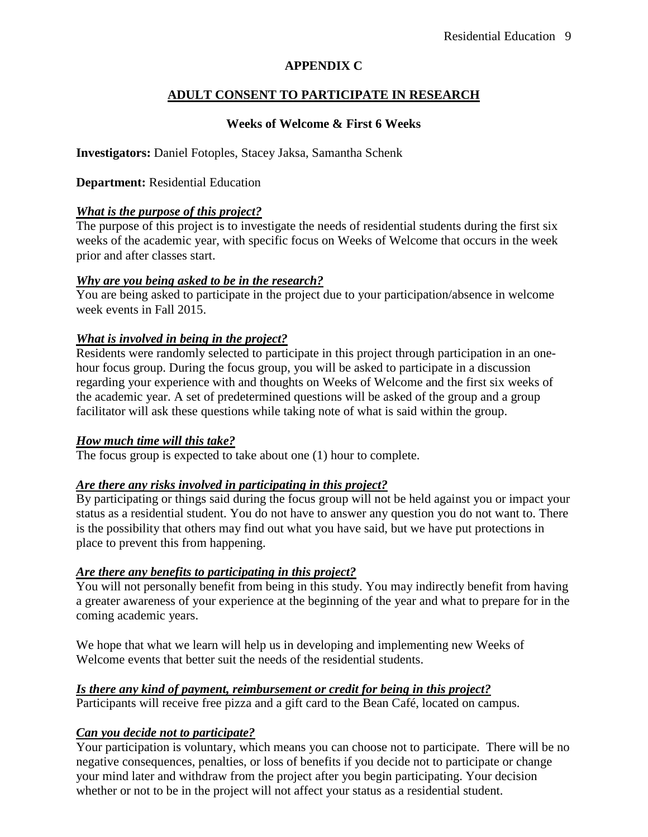# **APPENDIX C**

# **ADULT CONSENT TO PARTICIPATE IN RESEARCH**

# **Weeks of Welcome & First 6 Weeks**

**Investigators:** Daniel Fotoples, Stacey Jaksa, Samantha Schenk

## **Department:** Residential Education

## *What is the purpose of this project?*

The purpose of this project is to investigate the needs of residential students during the first six weeks of the academic year, with specific focus on Weeks of Welcome that occurs in the week prior and after classes start.

## *Why are you being asked to be in the research?*

You are being asked to participate in the project due to your participation/absence in welcome week events in Fall 2015.

## *What is involved in being in the project?*

Residents were randomly selected to participate in this project through participation in an onehour focus group. During the focus group, you will be asked to participate in a discussion regarding your experience with and thoughts on Weeks of Welcome and the first six weeks of the academic year. A set of predetermined questions will be asked of the group and a group facilitator will ask these questions while taking note of what is said within the group.

## *How much time will this take?*

The focus group is expected to take about one (1) hour to complete.

## *Are there any risks involved in participating in this project?*

By participating or things said during the focus group will not be held against you or impact your status as a residential student. You do not have to answer any question you do not want to. There is the possibility that others may find out what you have said, but we have put protections in place to prevent this from happening.

# *Are there any benefits to participating in this project?*

You will not personally benefit from being in this study. You may indirectly benefit from having a greater awareness of your experience at the beginning of the year and what to prepare for in the coming academic years.

We hope that what we learn will help us in developing and implementing new Weeks of Welcome events that better suit the needs of the residential students.

## *Is there any kind of payment, reimbursement or credit for being in this project?*

Participants will receive free pizza and a gift card to the Bean Café, located on campus.

# *Can you decide not to participate?*

Your participation is voluntary, which means you can choose not to participate. There will be no negative consequences, penalties, or loss of benefits if you decide not to participate or change your mind later and withdraw from the project after you begin participating. Your decision whether or not to be in the project will not affect your status as a residential student.